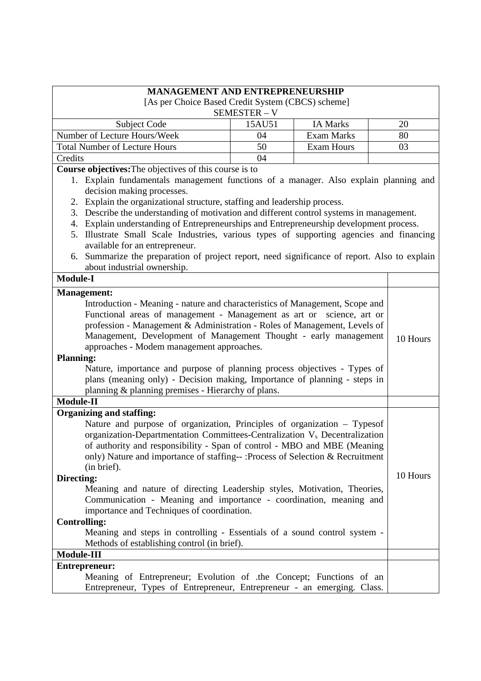| <b>MANAGEMENT AND ENTREPRENEURSHIP</b>                                                       |                                                                    |                   |  |          |
|----------------------------------------------------------------------------------------------|--------------------------------------------------------------------|-------------------|--|----------|
| [As per Choice Based Credit System (CBCS) scheme]                                            |                                                                    |                   |  |          |
|                                                                                              | SEMESTER - V                                                       |                   |  |          |
| Subject Code                                                                                 | 15AU51                                                             | <b>IA Marks</b>   |  | 20       |
| Number of Lecture Hours/Week                                                                 | 04                                                                 | <b>Exam Marks</b> |  | 80       |
| <b>Total Number of Lecture Hours</b>                                                         | 50                                                                 | <b>Exam Hours</b> |  | 03       |
| Credits                                                                                      | 04                                                                 |                   |  |          |
| Course objectives: The objectives of this course is to                                       |                                                                    |                   |  |          |
| 1. Explain fundamentals management functions of a manager. Also explain planning and         |                                                                    |                   |  |          |
| decision making processes.                                                                   |                                                                    |                   |  |          |
| Explain the organizational structure, staffing and leadership process.<br>2.                 |                                                                    |                   |  |          |
| Describe the understanding of motivation and different control systems in management.<br>3.  |                                                                    |                   |  |          |
| Explain understanding of Entrepreneurships and Entrepreneurship development process.<br>4.   |                                                                    |                   |  |          |
| Illustrate Small Scale Industries, various types of supporting agencies and financing<br>5.  |                                                                    |                   |  |          |
| available for an entrepreneur.                                                               |                                                                    |                   |  |          |
| 6. Summarize the preparation of project report, need significance of report. Also to explain |                                                                    |                   |  |          |
| about industrial ownership.                                                                  |                                                                    |                   |  |          |
| <b>Module-I</b>                                                                              |                                                                    |                   |  |          |
| <b>Management:</b>                                                                           |                                                                    |                   |  |          |
| Introduction - Meaning - nature and characteristics of Management, Scope and                 |                                                                    |                   |  |          |
| Functional areas of management - Management as art or science, art or                        |                                                                    |                   |  |          |
| profession - Management & Administration - Roles of Management, Levels of                    |                                                                    |                   |  |          |
| Management, Development of Management Thought - early management                             |                                                                    |                   |  | 10 Hours |
| approaches - Modem management approaches.                                                    |                                                                    |                   |  |          |
| <b>Planning:</b>                                                                             |                                                                    |                   |  |          |
| Nature, importance and purpose of planning process objectives - Types of                     |                                                                    |                   |  |          |
| plans (meaning only) - Decision making, Importance of planning - steps in                    |                                                                    |                   |  |          |
| planning & planning premises - Hierarchy of plans.                                           |                                                                    |                   |  |          |
| <b>Module-II</b>                                                                             |                                                                    |                   |  |          |
| <b>Organizing and staffing:</b>                                                              |                                                                    |                   |  |          |
| Nature and purpose of organization, Principles of organization – Typesof                     |                                                                    |                   |  |          |
| organization-Departmentation Committees-Centralization V <sub>s</sub> Decentralization       |                                                                    |                   |  |          |
| of authority and responsibility - Span of control - MBO and MBE (Meaning                     |                                                                    |                   |  |          |
| only) Nature and importance of staffing--: Process of Selection & Recruitment                |                                                                    |                   |  |          |
| (in brief).                                                                                  |                                                                    |                   |  | 10 Hours |
| Directing:                                                                                   |                                                                    |                   |  |          |
| Meaning and nature of directing Leadership styles, Motivation, Theories,                     |                                                                    |                   |  |          |
|                                                                                              | Communication - Meaning and importance - coordination, meaning and |                   |  |          |
| importance and Techniques of coordination.                                                   |                                                                    |                   |  |          |
| <b>Controlling:</b>                                                                          |                                                                    |                   |  |          |
| Meaning and steps in controlling - Essentials of a sound control system -                    |                                                                    |                   |  |          |
| Methods of establishing control (in brief).                                                  |                                                                    |                   |  |          |
| Module-III                                                                                   |                                                                    |                   |  |          |
| <b>Entrepreneur:</b>                                                                         |                                                                    |                   |  |          |
| Meaning of Entrepreneur; Evolution of .the Concept; Functions of an                          |                                                                    |                   |  |          |
| Entrepreneur, Types of Entrepreneur, Entrepreneur - an emerging. Class.                      |                                                                    |                   |  |          |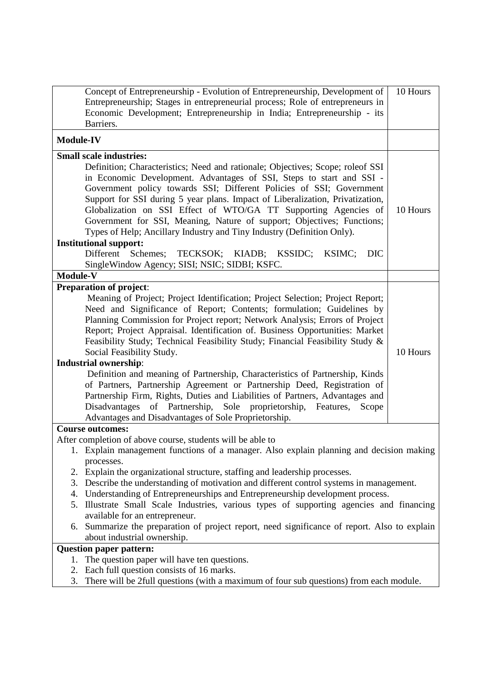| Concept of Entrepreneurship - Evolution of Entrepreneurship, Development of<br>Entrepreneurship; Stages in entrepreneurial process; Role of entrepreneurs in                                                                                                                                                                                                                                                                                                                                                                           | 10 Hours |
|----------------------------------------------------------------------------------------------------------------------------------------------------------------------------------------------------------------------------------------------------------------------------------------------------------------------------------------------------------------------------------------------------------------------------------------------------------------------------------------------------------------------------------------|----------|
| Economic Development; Entrepreneurship in India; Entrepreneurship - its<br>Barriers.                                                                                                                                                                                                                                                                                                                                                                                                                                                   |          |
|                                                                                                                                                                                                                                                                                                                                                                                                                                                                                                                                        |          |
| <b>Module-IV</b>                                                                                                                                                                                                                                                                                                                                                                                                                                                                                                                       |          |
| <b>Small scale industries:</b>                                                                                                                                                                                                                                                                                                                                                                                                                                                                                                         |          |
| Definition; Characteristics; Need and rationale; Objectives; Scope; roleof SSI<br>in Economic Development. Advantages of SSI, Steps to start and SSI -<br>Government policy towards SSI; Different Policies of SSI; Government<br>Support for SSI during 5 year plans. Impact of Liberalization, Privatization,<br>Globalization on SSI Effect of WTO/GA TT Supporting Agencies of<br>Government for SSI, Meaning, Nature of support; Objectives; Functions;<br>Types of Help; Ancillary Industry and Tiny Industry (Definition Only). | 10 Hours |
| <b>Institutional support:</b>                                                                                                                                                                                                                                                                                                                                                                                                                                                                                                          |          |
| Different Schemes;<br>TECKSOK; KIADB; KSSIDC;<br><b>DIC</b><br>KSIMC;<br>SingleWindow Agency; SISI; NSIC; SIDBI; KSFC.                                                                                                                                                                                                                                                                                                                                                                                                                 |          |
| Module-V                                                                                                                                                                                                                                                                                                                                                                                                                                                                                                                               |          |
| <b>Preparation of project:</b>                                                                                                                                                                                                                                                                                                                                                                                                                                                                                                         |          |
| Meaning of Project; Project Identification; Project Selection; Project Report;<br>Need and Significance of Report; Contents; formulation; Guidelines by<br>Planning Commission for Project report; Network Analysis; Errors of Project<br>Report; Project Appraisal. Identification of. Business Opportunities: Market<br>Feasibility Study; Technical Feasibility Study; Financial Feasibility Study &<br>Social Feasibility Study.<br><b>Industrial ownership:</b>                                                                   | 10 Hours |
| Definition and meaning of Partnership, Characteristics of Partnership, Kinds<br>of Partners, Partnership Agreement or Partnership Deed, Registration of<br>Partnership Firm, Rights, Duties and Liabilities of Partners, Advantages and                                                                                                                                                                                                                                                                                                |          |
| Disadvantages of Partnership, Sole proprietorship, Features,<br>Scope<br>Advantages and Disadvantages of Sole Proprietorship.                                                                                                                                                                                                                                                                                                                                                                                                          |          |
| <b>Course outcomes:</b>                                                                                                                                                                                                                                                                                                                                                                                                                                                                                                                |          |
| After completion of above course, students will be able to                                                                                                                                                                                                                                                                                                                                                                                                                                                                             |          |
| 1. Explain management functions of a manager. Also explain planning and decision making                                                                                                                                                                                                                                                                                                                                                                                                                                                |          |
| processes.                                                                                                                                                                                                                                                                                                                                                                                                                                                                                                                             |          |
| 2. Explain the organizational structure, staffing and leadership processes.                                                                                                                                                                                                                                                                                                                                                                                                                                                            |          |
| Describe the understanding of motivation and different control systems in management.<br>3.                                                                                                                                                                                                                                                                                                                                                                                                                                            |          |
| 4. Understanding of Entrepreneurships and Entrepreneurship development process.                                                                                                                                                                                                                                                                                                                                                                                                                                                        |          |
| Illustrate Small Scale Industries, various types of supporting agencies and financing<br>5.                                                                                                                                                                                                                                                                                                                                                                                                                                            |          |
| available for an entrepreneur.<br>Summarize the preparation of project report, need significance of report. Also to explain<br>6.                                                                                                                                                                                                                                                                                                                                                                                                      |          |
| about industrial ownership.                                                                                                                                                                                                                                                                                                                                                                                                                                                                                                            |          |
| <b>Question paper pattern:</b>                                                                                                                                                                                                                                                                                                                                                                                                                                                                                                         |          |
| The question paper will have ten questions.<br>1.                                                                                                                                                                                                                                                                                                                                                                                                                                                                                      |          |
| 2. Each full question consists of 16 marks.                                                                                                                                                                                                                                                                                                                                                                                                                                                                                            |          |
| There will be 2full questions (with a maximum of four sub questions) from each module.<br>3.                                                                                                                                                                                                                                                                                                                                                                                                                                           |          |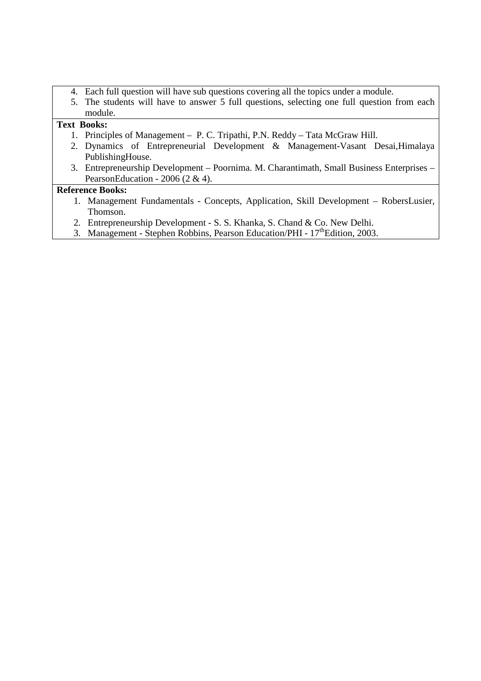- 4. Each full question will have sub questions covering all the topics under a module.
- 5. The students will have to answer 5 full questions, selecting one full question from each module.

## **Text Books:**

- 1. Principles of Management P. C. Tripathi, P.N. Reddy Tata McGraw Hill.
- 2. Dynamics of Entrepreneurial Development & Management-Vasant Desai,Himalaya PublishingHouse.
- 3. Entrepreneurship Development Poornima. M. Charantimath, Small Business Enterprises PearsonEducation - 2006 (2 & 4).

### **Reference Books:**

- 1. Management Fundamentals Concepts, Application, Skill Development RobersLusier, Thomson.
- 2. Entrepreneurship Development S. S. Khanka, S. Chand & Co. New Delhi.
- 3. Management Stephen Robbins, Pearson Education/PHI 17<sup>th</sup>Edition, 2003.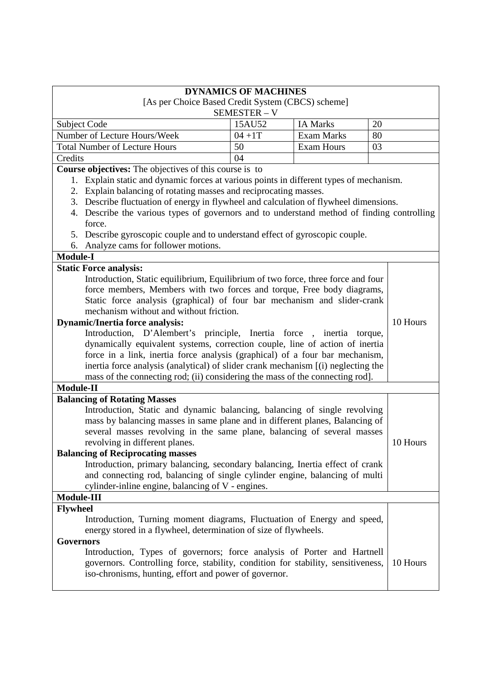|                                                                                            | <b>DYNAMICS OF MACHINES</b>                                                                                                                                 |                   |          |
|--------------------------------------------------------------------------------------------|-------------------------------------------------------------------------------------------------------------------------------------------------------------|-------------------|----------|
| [As per Choice Based Credit System (CBCS) scheme]<br>SEMESTER - V                          |                                                                                                                                                             |                   |          |
| Subject Code                                                                               | 15AU52                                                                                                                                                      | <b>IA Marks</b>   | 20       |
| Number of Lecture Hours/Week                                                               | $04 + 1T$                                                                                                                                                   | <b>Exam Marks</b> | 80       |
| <b>Total Number of Lecture Hours</b>                                                       | 50                                                                                                                                                          | <b>Exam Hours</b> | 03       |
| Credits                                                                                    | 04                                                                                                                                                          |                   |          |
| <b>Course objectives:</b> The objectives of this course is to                              |                                                                                                                                                             |                   |          |
| Explain static and dynamic forces at various points in different types of mechanism.<br>1. |                                                                                                                                                             |                   |          |
| 2. Explain balancing of rotating masses and reciprocating masses.                          |                                                                                                                                                             |                   |          |
| 3. Describe fluctuation of energy in flywheel and calculation of flywheel dimensions.      |                                                                                                                                                             |                   |          |
| 4. Describe the various types of governors and to understand method of finding controlling |                                                                                                                                                             |                   |          |
| force.                                                                                     |                                                                                                                                                             |                   |          |
| 5. Describe gyroscopic couple and to understand effect of gyroscopic couple.               |                                                                                                                                                             |                   |          |
| Analyze cams for follower motions.<br>6.                                                   |                                                                                                                                                             |                   |          |
| <b>Module-I</b>                                                                            |                                                                                                                                                             |                   |          |
| <b>Static Force analysis:</b>                                                              |                                                                                                                                                             |                   |          |
| Introduction, Static equilibrium, Equilibrium of two force, three force and four           |                                                                                                                                                             |                   |          |
| force members, Members with two forces and torque, Free body diagrams,                     |                                                                                                                                                             |                   |          |
| Static force analysis (graphical) of four bar mechanism and slider-crank                   |                                                                                                                                                             |                   |          |
| mechanism without and without friction.                                                    |                                                                                                                                                             |                   |          |
| <b>Dynamic/Inertia force analysis:</b>                                                     |                                                                                                                                                             |                   | 10 Hours |
| Introduction, D'Alembert's principle, Inertia force, inertia torque,                       |                                                                                                                                                             |                   |          |
| dynamically equivalent systems, correction couple, line of action of inertia               |                                                                                                                                                             |                   |          |
| force in a link, inertia force analysis (graphical) of a four bar mechanism,               |                                                                                                                                                             |                   |          |
| inertia force analysis (analytical) of slider crank mechanism [(i) neglecting the          |                                                                                                                                                             |                   |          |
| mass of the connecting rod; (ii) considering the mass of the connecting rod].              |                                                                                                                                                             |                   |          |
| <b>Module-II</b>                                                                           |                                                                                                                                                             |                   |          |
| <b>Balancing of Rotating Masses</b>                                                        |                                                                                                                                                             |                   |          |
| Introduction, Static and dynamic balancing, balancing of single revolving                  |                                                                                                                                                             |                   |          |
| mass by balancing masses in same plane and in different planes, Balancing of               |                                                                                                                                                             |                   |          |
| several masses revolving in the same plane, balancing of several masses                    |                                                                                                                                                             |                   |          |
| revolving in different planes.                                                             |                                                                                                                                                             |                   | 10 Hours |
| <b>Balancing of Reciprocating masses</b>                                                   |                                                                                                                                                             |                   |          |
| Introduction, primary balancing, secondary balancing, Inertia effect of crank              |                                                                                                                                                             |                   |          |
| and connecting rod, balancing of single cylinder engine, balancing of multi                |                                                                                                                                                             |                   |          |
| cylinder-inline engine, balancing of V - engines.                                          |                                                                                                                                                             |                   |          |
| Module-III                                                                                 |                                                                                                                                                             |                   |          |
| <b>Flywheel</b>                                                                            |                                                                                                                                                             |                   |          |
| Introduction, Turning moment diagrams, Fluctuation of Energy and speed,                    |                                                                                                                                                             |                   |          |
| energy stored in a flywheel, determination of size of flywheels.                           |                                                                                                                                                             |                   |          |
| Governors                                                                                  |                                                                                                                                                             |                   |          |
|                                                                                            | Introduction, Types of governors; force analysis of Porter and Hartnell<br>governors. Controlling force, stability, condition for stability, sensitiveness, |                   |          |
|                                                                                            |                                                                                                                                                             |                   | 10 Hours |
| iso-chronisms, hunting, effort and power of governor.                                      |                                                                                                                                                             |                   |          |
|                                                                                            |                                                                                                                                                             |                   |          |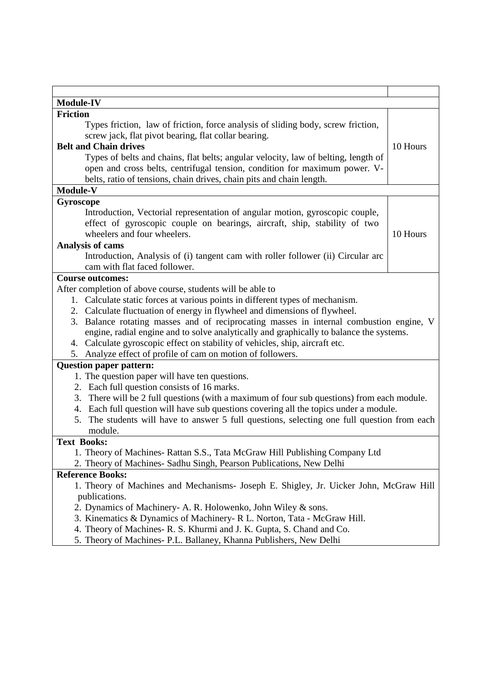| <b>Module-IV</b>                                                                               |          |  |
|------------------------------------------------------------------------------------------------|----------|--|
| <b>Friction</b>                                                                                |          |  |
| Types friction, law of friction, force analysis of sliding body, screw friction,               |          |  |
| screw jack, flat pivot bearing, flat collar bearing.                                           |          |  |
| <b>Belt and Chain drives</b>                                                                   | 10 Hours |  |
| Types of belts and chains, flat belts; angular velocity, law of belting, length of             |          |  |
| open and cross belts, centrifugal tension, condition for maximum power. V-                     |          |  |
| belts, ratio of tensions, chain drives, chain pits and chain length.                           |          |  |
| Module-V                                                                                       |          |  |
| Gyroscope                                                                                      |          |  |
| Introduction, Vectorial representation of angular motion, gyroscopic couple,                   |          |  |
| effect of gyroscopic couple on bearings, aircraft, ship, stability of two                      |          |  |
| wheelers and four wheelers.                                                                    | 10 Hours |  |
| Analysis of cams                                                                               |          |  |
| Introduction, Analysis of (i) tangent cam with roller follower (ii) Circular arc               |          |  |
| cam with flat faced follower.                                                                  |          |  |
| <b>Course outcomes:</b>                                                                        |          |  |
| After completion of above course, students will be able to                                     |          |  |
| 1. Calculate static forces at various points in different types of mechanism.                  |          |  |
| 2. Calculate fluctuation of energy in flywheel and dimensions of flywheel.                     |          |  |
| Balance rotating masses and of reciprocating masses in internal combustion engine, V<br>3.     |          |  |
| engine, radial engine and to solve analytically and graphically to balance the systems.        |          |  |
| 4. Calculate gyroscopic effect on stability of vehicles, ship, aircraft etc.                   |          |  |
| 5. Analyze effect of profile of cam on motion of followers.                                    |          |  |
| <b>Question paper pattern:</b>                                                                 |          |  |
| 1. The question paper will have ten questions.                                                 |          |  |
| 2. Each full question consists of 16 marks.                                                    |          |  |
| 3. There will be 2 full questions (with a maximum of four sub questions) from each module.     |          |  |
| 4. Each full question will have sub questions covering all the topics under a module.          |          |  |
| The students will have to answer 5 full questions, selecting one full question from each<br>5. |          |  |
| module.                                                                                        |          |  |
| <b>Text Books:</b>                                                                             |          |  |
| 1. Theory of Machines-Rattan S.S., Tata McGraw Hill Publishing Company Ltd                     |          |  |
| 2. Theory of Machines- Sadhu Singh, Pearson Publications, New Delhi                            |          |  |
| <b>Reference Books:</b>                                                                        |          |  |
| 1. Theory of Machines and Mechanisms- Joseph E. Shigley, Jr. Uicker John, McGraw Hill          |          |  |
| publications.                                                                                  |          |  |
| 2. Dynamics of Machinery- A. R. Holowenko, John Wiley & sons.                                  |          |  |
| 3. Kinematics & Dynamics of Machinery-R L. Norton, Tata - McGraw Hill.                         |          |  |
| 4. Theory of Machines- R. S. Khurmi and J. K. Gupta, S. Chand and Co.                          |          |  |
| 5. Theory of Machines- P.L. Ballaney, Khanna Publishers, New Delhi                             |          |  |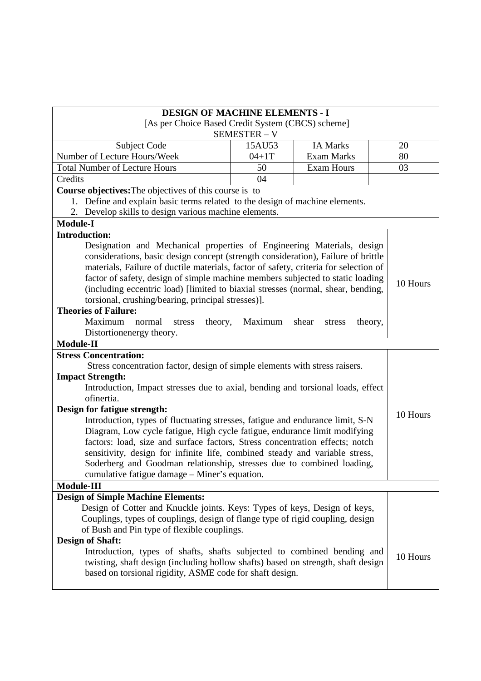| <b>DESIGN OF MACHINE ELEMENTS - I</b>                                                |            |                   |          |
|--------------------------------------------------------------------------------------|------------|-------------------|----------|
| [As per Choice Based Credit System (CBCS) scheme]                                    |            |                   |          |
|                                                                                      | SEMESTER-V |                   |          |
| Subject Code                                                                         | 15AU53     | <b>IA Marks</b>   | 20       |
| Number of Lecture Hours/Week                                                         | $04 + 1T$  | <b>Exam Marks</b> | 80       |
| <b>Total Number of Lecture Hours</b>                                                 | 50         | <b>Exam Hours</b> | 03       |
| Credits                                                                              | 04         |                   |          |
| Course objectives: The objectives of this course is to                               |            |                   |          |
| Define and explain basic terms related to the design of machine elements.<br>1.      |            |                   |          |
| Develop skills to design various machine elements.<br>2.                             |            |                   |          |
| <b>Module-I</b>                                                                      |            |                   |          |
| <b>Introduction:</b>                                                                 |            |                   |          |
| Designation and Mechanical properties of Engineering Materials, design               |            |                   |          |
| considerations, basic design concept (strength consideration), Failure of brittle    |            |                   |          |
| materials, Failure of ductile materials, factor of safety, criteria for selection of |            |                   |          |
| factor of safety, design of simple machine members subjected to static loading       |            |                   |          |
| (including eccentric load) [limited to biaxial stresses (normal, shear, bending,     |            |                   | 10 Hours |
| torsional, crushing/bearing, principal stresses)].                                   |            |                   |          |
| <b>Theories of Failure:</b>                                                          |            |                   |          |
| Maximum<br>normal<br>stress<br>theory,                                               | Maximum    | shear<br>stress   | theory,  |
| Distortion energy theory.                                                            |            |                   |          |
| <b>Module-II</b>                                                                     |            |                   |          |
| <b>Stress Concentration:</b>                                                         |            |                   |          |
| Stress concentration factor, design of simple elements with stress raisers.          |            |                   |          |
| <b>Impact Strength:</b>                                                              |            |                   |          |
| Introduction, Impact stresses due to axial, bending and torsional loads, effect      |            |                   |          |
| ofinertia.                                                                           |            |                   |          |
| Design for fatigue strength:                                                         |            |                   |          |
| Introduction, types of fluctuating stresses, fatigue and endurance limit, S-N        |            |                   | 10 Hours |
| Diagram, Low cycle fatigue, High cycle fatigue, endurance limit modifying            |            |                   |          |
| factors: load, size and surface factors, Stress concentration effects; notch         |            |                   |          |
| sensitivity, design for infinite life, combined steady and variable stress,          |            |                   |          |
| Soderberg and Goodman relationship, stresses due to combined loading,                |            |                   |          |
| cumulative fatigue damage – Miner's equation.                                        |            |                   |          |
| <b>Module-III</b>                                                                    |            |                   |          |
| <b>Design of Simple Machine Elements:</b>                                            |            |                   |          |
| Design of Cotter and Knuckle joints. Keys: Types of keys, Design of keys,            |            |                   |          |
| Couplings, types of couplings, design of flange type of rigid coupling, design       |            |                   |          |
| of Bush and Pin type of flexible couplings.                                          |            |                   |          |
| <b>Design of Shaft:</b>                                                              |            |                   |          |
| Introduction, types of shafts, shafts subjected to combined bending and              |            |                   | 10 Hours |
| twisting, shaft design (including hollow shafts) based on strength, shaft design     |            |                   |          |
| based on torsional rigidity, ASME code for shaft design.                             |            |                   |          |
|                                                                                      |            |                   |          |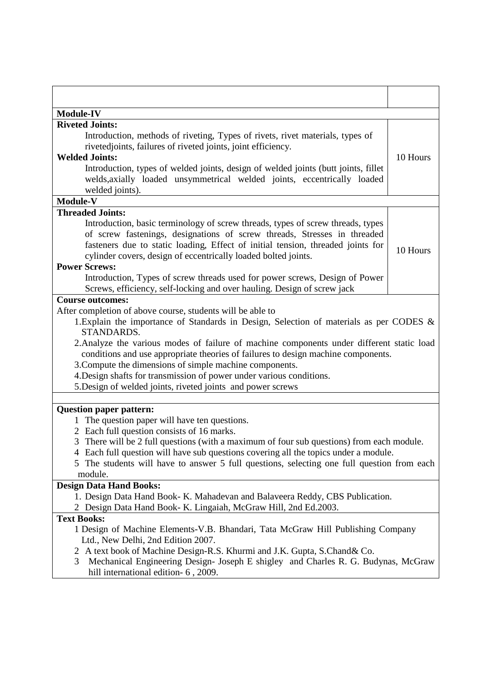| <b>Module-IV</b><br><b>Riveted Joints:</b><br>Introduction, methods of riveting, Types of rivets, rivet materials, types of<br>rivetedjoints, failures of riveted joints, joint efficiency.<br>10 Hours<br><b>Welded Joints:</b><br>Introduction, types of welded joints, design of welded joints (butt joints, fillet<br>welds, axially loaded unsymmetrical welded joints, eccentrically loaded<br>welded joints).<br>Module-V<br><b>Threaded Joints:</b><br>Introduction, basic terminology of screw threads, types of screw threads, types<br>of screw fastenings, designations of screw threads, Stresses in threaded<br>fasteners due to static loading, Effect of initial tension, threaded joints for<br>10 Hours<br>cylinder covers, design of eccentrically loaded bolted joints.<br><b>Power Screws:</b><br>Introduction, Types of screw threads used for power screws, Design of Power<br>Screws, efficiency, self-locking and over hauling. Design of screw jack<br><b>Course outcomes:</b><br>After completion of above course, students will be able to<br>1. Explain the importance of Standards in Design, Selection of materials as per CODES &<br>STANDARDS.<br>2. Analyze the various modes of failure of machine components under different static load<br>conditions and use appropriate theories of failures to design machine components.<br>3. Compute the dimensions of simple machine components.<br>4. Design shafts for transmission of power under various conditions.<br>5. Design of welded joints, riveted joints and power screws<br><b>Question paper pattern:</b><br>The question paper will have ten questions.<br>1<br>2 Each full question consists of 16 marks.<br>3 There will be 2 full questions (with a maximum of four sub questions) from each module.<br>4 Each full question will have sub questions covering all the topics under a module.<br>The students will have to answer 5 full questions, selecting one full question from each<br>module.<br><b>Design Data Hand Books:</b><br>1. Design Data Hand Book- K. Mahadevan and Balaveera Reddy, CBS Publication.<br>2 Design Data Hand Book- K. Lingaiah, McGraw Hill, 2nd Ed.2003.<br><b>Text Books:</b><br>1 Design of Machine Elements-V.B. Bhandari, Tata McGraw Hill Publishing Company<br>Ltd., New Delhi, 2nd Edition 2007.<br>2 A text book of Machine Design-R.S. Khurmi and J.K. Gupta, S.Chand & Co.<br>Mechanical Engineering Design- Joseph E shigley and Charles R. G. Budynas, McGraw<br>3 |  |
|----------------------------------------------------------------------------------------------------------------------------------------------------------------------------------------------------------------------------------------------------------------------------------------------------------------------------------------------------------------------------------------------------------------------------------------------------------------------------------------------------------------------------------------------------------------------------------------------------------------------------------------------------------------------------------------------------------------------------------------------------------------------------------------------------------------------------------------------------------------------------------------------------------------------------------------------------------------------------------------------------------------------------------------------------------------------------------------------------------------------------------------------------------------------------------------------------------------------------------------------------------------------------------------------------------------------------------------------------------------------------------------------------------------------------------------------------------------------------------------------------------------------------------------------------------------------------------------------------------------------------------------------------------------------------------------------------------------------------------------------------------------------------------------------------------------------------------------------------------------------------------------------------------------------------------------------------------------------------------------------------------------------------------------------------------------------------------------------------------------------------------------------------------------------------------------------------------------------------------------------------------------------------------------------------------------------------------------------------------------------------------------------------------------------------------------------------------------------------------------------------------------|--|
|                                                                                                                                                                                                                                                                                                                                                                                                                                                                                                                                                                                                                                                                                                                                                                                                                                                                                                                                                                                                                                                                                                                                                                                                                                                                                                                                                                                                                                                                                                                                                                                                                                                                                                                                                                                                                                                                                                                                                                                                                                                                                                                                                                                                                                                                                                                                                                                                                                                                                                                |  |
|                                                                                                                                                                                                                                                                                                                                                                                                                                                                                                                                                                                                                                                                                                                                                                                                                                                                                                                                                                                                                                                                                                                                                                                                                                                                                                                                                                                                                                                                                                                                                                                                                                                                                                                                                                                                                                                                                                                                                                                                                                                                                                                                                                                                                                                                                                                                                                                                                                                                                                                |  |
|                                                                                                                                                                                                                                                                                                                                                                                                                                                                                                                                                                                                                                                                                                                                                                                                                                                                                                                                                                                                                                                                                                                                                                                                                                                                                                                                                                                                                                                                                                                                                                                                                                                                                                                                                                                                                                                                                                                                                                                                                                                                                                                                                                                                                                                                                                                                                                                                                                                                                                                |  |
|                                                                                                                                                                                                                                                                                                                                                                                                                                                                                                                                                                                                                                                                                                                                                                                                                                                                                                                                                                                                                                                                                                                                                                                                                                                                                                                                                                                                                                                                                                                                                                                                                                                                                                                                                                                                                                                                                                                                                                                                                                                                                                                                                                                                                                                                                                                                                                                                                                                                                                                |  |
|                                                                                                                                                                                                                                                                                                                                                                                                                                                                                                                                                                                                                                                                                                                                                                                                                                                                                                                                                                                                                                                                                                                                                                                                                                                                                                                                                                                                                                                                                                                                                                                                                                                                                                                                                                                                                                                                                                                                                                                                                                                                                                                                                                                                                                                                                                                                                                                                                                                                                                                |  |
|                                                                                                                                                                                                                                                                                                                                                                                                                                                                                                                                                                                                                                                                                                                                                                                                                                                                                                                                                                                                                                                                                                                                                                                                                                                                                                                                                                                                                                                                                                                                                                                                                                                                                                                                                                                                                                                                                                                                                                                                                                                                                                                                                                                                                                                                                                                                                                                                                                                                                                                |  |
|                                                                                                                                                                                                                                                                                                                                                                                                                                                                                                                                                                                                                                                                                                                                                                                                                                                                                                                                                                                                                                                                                                                                                                                                                                                                                                                                                                                                                                                                                                                                                                                                                                                                                                                                                                                                                                                                                                                                                                                                                                                                                                                                                                                                                                                                                                                                                                                                                                                                                                                |  |
|                                                                                                                                                                                                                                                                                                                                                                                                                                                                                                                                                                                                                                                                                                                                                                                                                                                                                                                                                                                                                                                                                                                                                                                                                                                                                                                                                                                                                                                                                                                                                                                                                                                                                                                                                                                                                                                                                                                                                                                                                                                                                                                                                                                                                                                                                                                                                                                                                                                                                                                |  |
|                                                                                                                                                                                                                                                                                                                                                                                                                                                                                                                                                                                                                                                                                                                                                                                                                                                                                                                                                                                                                                                                                                                                                                                                                                                                                                                                                                                                                                                                                                                                                                                                                                                                                                                                                                                                                                                                                                                                                                                                                                                                                                                                                                                                                                                                                                                                                                                                                                                                                                                |  |
|                                                                                                                                                                                                                                                                                                                                                                                                                                                                                                                                                                                                                                                                                                                                                                                                                                                                                                                                                                                                                                                                                                                                                                                                                                                                                                                                                                                                                                                                                                                                                                                                                                                                                                                                                                                                                                                                                                                                                                                                                                                                                                                                                                                                                                                                                                                                                                                                                                                                                                                |  |
|                                                                                                                                                                                                                                                                                                                                                                                                                                                                                                                                                                                                                                                                                                                                                                                                                                                                                                                                                                                                                                                                                                                                                                                                                                                                                                                                                                                                                                                                                                                                                                                                                                                                                                                                                                                                                                                                                                                                                                                                                                                                                                                                                                                                                                                                                                                                                                                                                                                                                                                |  |
|                                                                                                                                                                                                                                                                                                                                                                                                                                                                                                                                                                                                                                                                                                                                                                                                                                                                                                                                                                                                                                                                                                                                                                                                                                                                                                                                                                                                                                                                                                                                                                                                                                                                                                                                                                                                                                                                                                                                                                                                                                                                                                                                                                                                                                                                                                                                                                                                                                                                                                                |  |
|                                                                                                                                                                                                                                                                                                                                                                                                                                                                                                                                                                                                                                                                                                                                                                                                                                                                                                                                                                                                                                                                                                                                                                                                                                                                                                                                                                                                                                                                                                                                                                                                                                                                                                                                                                                                                                                                                                                                                                                                                                                                                                                                                                                                                                                                                                                                                                                                                                                                                                                |  |
|                                                                                                                                                                                                                                                                                                                                                                                                                                                                                                                                                                                                                                                                                                                                                                                                                                                                                                                                                                                                                                                                                                                                                                                                                                                                                                                                                                                                                                                                                                                                                                                                                                                                                                                                                                                                                                                                                                                                                                                                                                                                                                                                                                                                                                                                                                                                                                                                                                                                                                                |  |
|                                                                                                                                                                                                                                                                                                                                                                                                                                                                                                                                                                                                                                                                                                                                                                                                                                                                                                                                                                                                                                                                                                                                                                                                                                                                                                                                                                                                                                                                                                                                                                                                                                                                                                                                                                                                                                                                                                                                                                                                                                                                                                                                                                                                                                                                                                                                                                                                                                                                                                                |  |
|                                                                                                                                                                                                                                                                                                                                                                                                                                                                                                                                                                                                                                                                                                                                                                                                                                                                                                                                                                                                                                                                                                                                                                                                                                                                                                                                                                                                                                                                                                                                                                                                                                                                                                                                                                                                                                                                                                                                                                                                                                                                                                                                                                                                                                                                                                                                                                                                                                                                                                                |  |
|                                                                                                                                                                                                                                                                                                                                                                                                                                                                                                                                                                                                                                                                                                                                                                                                                                                                                                                                                                                                                                                                                                                                                                                                                                                                                                                                                                                                                                                                                                                                                                                                                                                                                                                                                                                                                                                                                                                                                                                                                                                                                                                                                                                                                                                                                                                                                                                                                                                                                                                |  |
|                                                                                                                                                                                                                                                                                                                                                                                                                                                                                                                                                                                                                                                                                                                                                                                                                                                                                                                                                                                                                                                                                                                                                                                                                                                                                                                                                                                                                                                                                                                                                                                                                                                                                                                                                                                                                                                                                                                                                                                                                                                                                                                                                                                                                                                                                                                                                                                                                                                                                                                |  |
|                                                                                                                                                                                                                                                                                                                                                                                                                                                                                                                                                                                                                                                                                                                                                                                                                                                                                                                                                                                                                                                                                                                                                                                                                                                                                                                                                                                                                                                                                                                                                                                                                                                                                                                                                                                                                                                                                                                                                                                                                                                                                                                                                                                                                                                                                                                                                                                                                                                                                                                |  |
|                                                                                                                                                                                                                                                                                                                                                                                                                                                                                                                                                                                                                                                                                                                                                                                                                                                                                                                                                                                                                                                                                                                                                                                                                                                                                                                                                                                                                                                                                                                                                                                                                                                                                                                                                                                                                                                                                                                                                                                                                                                                                                                                                                                                                                                                                                                                                                                                                                                                                                                |  |
|                                                                                                                                                                                                                                                                                                                                                                                                                                                                                                                                                                                                                                                                                                                                                                                                                                                                                                                                                                                                                                                                                                                                                                                                                                                                                                                                                                                                                                                                                                                                                                                                                                                                                                                                                                                                                                                                                                                                                                                                                                                                                                                                                                                                                                                                                                                                                                                                                                                                                                                |  |
|                                                                                                                                                                                                                                                                                                                                                                                                                                                                                                                                                                                                                                                                                                                                                                                                                                                                                                                                                                                                                                                                                                                                                                                                                                                                                                                                                                                                                                                                                                                                                                                                                                                                                                                                                                                                                                                                                                                                                                                                                                                                                                                                                                                                                                                                                                                                                                                                                                                                                                                |  |
|                                                                                                                                                                                                                                                                                                                                                                                                                                                                                                                                                                                                                                                                                                                                                                                                                                                                                                                                                                                                                                                                                                                                                                                                                                                                                                                                                                                                                                                                                                                                                                                                                                                                                                                                                                                                                                                                                                                                                                                                                                                                                                                                                                                                                                                                                                                                                                                                                                                                                                                |  |
|                                                                                                                                                                                                                                                                                                                                                                                                                                                                                                                                                                                                                                                                                                                                                                                                                                                                                                                                                                                                                                                                                                                                                                                                                                                                                                                                                                                                                                                                                                                                                                                                                                                                                                                                                                                                                                                                                                                                                                                                                                                                                                                                                                                                                                                                                                                                                                                                                                                                                                                |  |
|                                                                                                                                                                                                                                                                                                                                                                                                                                                                                                                                                                                                                                                                                                                                                                                                                                                                                                                                                                                                                                                                                                                                                                                                                                                                                                                                                                                                                                                                                                                                                                                                                                                                                                                                                                                                                                                                                                                                                                                                                                                                                                                                                                                                                                                                                                                                                                                                                                                                                                                |  |
|                                                                                                                                                                                                                                                                                                                                                                                                                                                                                                                                                                                                                                                                                                                                                                                                                                                                                                                                                                                                                                                                                                                                                                                                                                                                                                                                                                                                                                                                                                                                                                                                                                                                                                                                                                                                                                                                                                                                                                                                                                                                                                                                                                                                                                                                                                                                                                                                                                                                                                                |  |
|                                                                                                                                                                                                                                                                                                                                                                                                                                                                                                                                                                                                                                                                                                                                                                                                                                                                                                                                                                                                                                                                                                                                                                                                                                                                                                                                                                                                                                                                                                                                                                                                                                                                                                                                                                                                                                                                                                                                                                                                                                                                                                                                                                                                                                                                                                                                                                                                                                                                                                                |  |
|                                                                                                                                                                                                                                                                                                                                                                                                                                                                                                                                                                                                                                                                                                                                                                                                                                                                                                                                                                                                                                                                                                                                                                                                                                                                                                                                                                                                                                                                                                                                                                                                                                                                                                                                                                                                                                                                                                                                                                                                                                                                                                                                                                                                                                                                                                                                                                                                                                                                                                                |  |
|                                                                                                                                                                                                                                                                                                                                                                                                                                                                                                                                                                                                                                                                                                                                                                                                                                                                                                                                                                                                                                                                                                                                                                                                                                                                                                                                                                                                                                                                                                                                                                                                                                                                                                                                                                                                                                                                                                                                                                                                                                                                                                                                                                                                                                                                                                                                                                                                                                                                                                                |  |
|                                                                                                                                                                                                                                                                                                                                                                                                                                                                                                                                                                                                                                                                                                                                                                                                                                                                                                                                                                                                                                                                                                                                                                                                                                                                                                                                                                                                                                                                                                                                                                                                                                                                                                                                                                                                                                                                                                                                                                                                                                                                                                                                                                                                                                                                                                                                                                                                                                                                                                                |  |
|                                                                                                                                                                                                                                                                                                                                                                                                                                                                                                                                                                                                                                                                                                                                                                                                                                                                                                                                                                                                                                                                                                                                                                                                                                                                                                                                                                                                                                                                                                                                                                                                                                                                                                                                                                                                                                                                                                                                                                                                                                                                                                                                                                                                                                                                                                                                                                                                                                                                                                                |  |
|                                                                                                                                                                                                                                                                                                                                                                                                                                                                                                                                                                                                                                                                                                                                                                                                                                                                                                                                                                                                                                                                                                                                                                                                                                                                                                                                                                                                                                                                                                                                                                                                                                                                                                                                                                                                                                                                                                                                                                                                                                                                                                                                                                                                                                                                                                                                                                                                                                                                                                                |  |
|                                                                                                                                                                                                                                                                                                                                                                                                                                                                                                                                                                                                                                                                                                                                                                                                                                                                                                                                                                                                                                                                                                                                                                                                                                                                                                                                                                                                                                                                                                                                                                                                                                                                                                                                                                                                                                                                                                                                                                                                                                                                                                                                                                                                                                                                                                                                                                                                                                                                                                                |  |
|                                                                                                                                                                                                                                                                                                                                                                                                                                                                                                                                                                                                                                                                                                                                                                                                                                                                                                                                                                                                                                                                                                                                                                                                                                                                                                                                                                                                                                                                                                                                                                                                                                                                                                                                                                                                                                                                                                                                                                                                                                                                                                                                                                                                                                                                                                                                                                                                                                                                                                                |  |
|                                                                                                                                                                                                                                                                                                                                                                                                                                                                                                                                                                                                                                                                                                                                                                                                                                                                                                                                                                                                                                                                                                                                                                                                                                                                                                                                                                                                                                                                                                                                                                                                                                                                                                                                                                                                                                                                                                                                                                                                                                                                                                                                                                                                                                                                                                                                                                                                                                                                                                                |  |
|                                                                                                                                                                                                                                                                                                                                                                                                                                                                                                                                                                                                                                                                                                                                                                                                                                                                                                                                                                                                                                                                                                                                                                                                                                                                                                                                                                                                                                                                                                                                                                                                                                                                                                                                                                                                                                                                                                                                                                                                                                                                                                                                                                                                                                                                                                                                                                                                                                                                                                                |  |
|                                                                                                                                                                                                                                                                                                                                                                                                                                                                                                                                                                                                                                                                                                                                                                                                                                                                                                                                                                                                                                                                                                                                                                                                                                                                                                                                                                                                                                                                                                                                                                                                                                                                                                                                                                                                                                                                                                                                                                                                                                                                                                                                                                                                                                                                                                                                                                                                                                                                                                                |  |
| hill international edition- 6, 2009.                                                                                                                                                                                                                                                                                                                                                                                                                                                                                                                                                                                                                                                                                                                                                                                                                                                                                                                                                                                                                                                                                                                                                                                                                                                                                                                                                                                                                                                                                                                                                                                                                                                                                                                                                                                                                                                                                                                                                                                                                                                                                                                                                                                                                                                                                                                                                                                                                                                                           |  |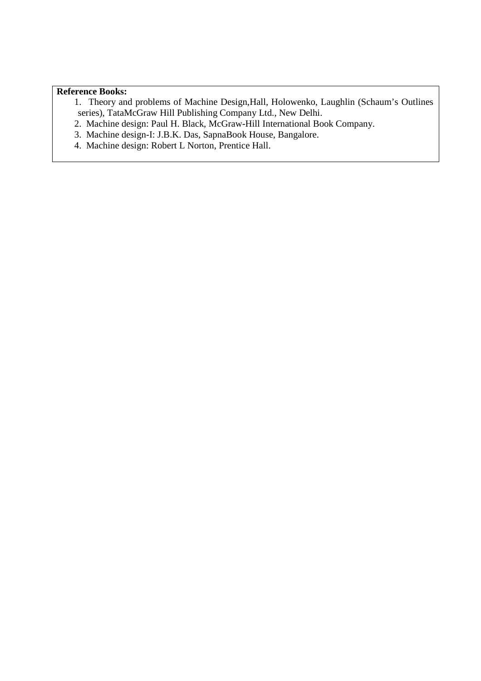#### **Reference Books:**

- 1. Theory and problems of Machine Design,Hall, Holowenko, Laughlin (Schaum's Outlines series), TataMcGraw Hill Publishing Company Ltd., New Delhi.
- 2. Machine design: Paul H. Black, McGraw-Hill International Book Company.
- 3. Machine design-I: J.B.K. Das, SapnaBook House, Bangalore.
- 4. Machine design: Robert L Norton, Prentice Hall.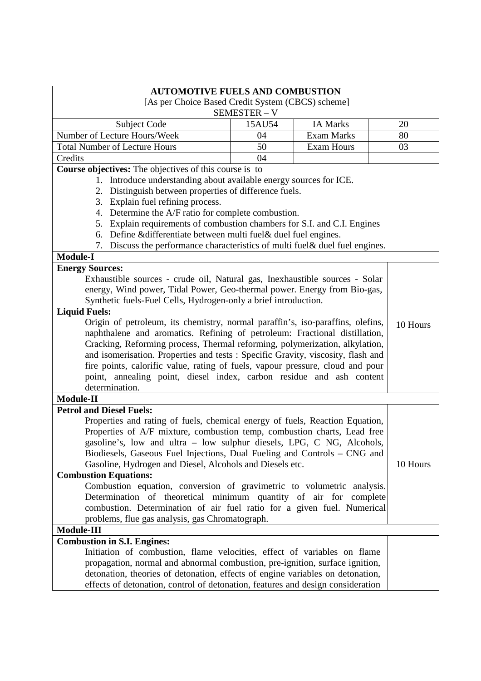| <b>AUTOMOTIVE FUELS AND COMBUSTION</b>                                                                                          |            |                   |          |
|---------------------------------------------------------------------------------------------------------------------------------|------------|-------------------|----------|
| [As per Choice Based Credit System (CBCS) scheme]                                                                               |            |                   |          |
|                                                                                                                                 | SEMESTER-V |                   |          |
| Subject Code                                                                                                                    | 15AU54     | <b>IA Marks</b>   | 20       |
| Number of Lecture Hours/Week                                                                                                    | 04         | <b>Exam Marks</b> | 80       |
| <b>Total Number of Lecture Hours</b>                                                                                            | 50         | <b>Exam Hours</b> | 03       |
| Credits                                                                                                                         | 04         |                   |          |
| Course objectives: The objectives of this course is to                                                                          |            |                   |          |
| 1. Introduce understanding about available energy sources for ICE.                                                              |            |                   |          |
| Distinguish between properties of difference fuels.<br>2.                                                                       |            |                   |          |
| 3. Explain fuel refining process.                                                                                               |            |                   |          |
| 4. Determine the A/F ratio for complete combustion.<br>5. Explain requirements of combustion chambers for S.I. and C.I. Engines |            |                   |          |
| 6. Define & differentiate between multi fuel& duel fuel engines.                                                                |            |                   |          |
| 7. Discuss the performance characteristics of multi fuel & duel fuel engines.                                                   |            |                   |          |
| <b>Module-I</b>                                                                                                                 |            |                   |          |
| <b>Energy Sources:</b>                                                                                                          |            |                   |          |
| Exhaustible sources - crude oil, Natural gas, Inexhaustible sources - Solar                                                     |            |                   |          |
| energy, Wind power, Tidal Power, Geo-thermal power. Energy from Bio-gas,                                                        |            |                   |          |
| Synthetic fuels-Fuel Cells, Hydrogen-only a brief introduction.                                                                 |            |                   |          |
| <b>Liquid Fuels:</b>                                                                                                            |            |                   |          |
| Origin of petroleum, its chemistry, normal paraffin's, iso-paraffins, olefins,                                                  |            |                   |          |
| 10 Hours<br>naphthalene and aromatics. Refining of petroleum: Fractional distillation,                                          |            |                   |          |
| Cracking, Reforming process, Thermal reforming, polymerization, alkylation,                                                     |            |                   |          |
| and isomerisation. Properties and tests: Specific Gravity, viscosity, flash and                                                 |            |                   |          |
| fire points, calorific value, rating of fuels, vapour pressure, cloud and pour                                                  |            |                   |          |
| point, annealing point, diesel index, carbon residue and ash content                                                            |            |                   |          |
| determination.                                                                                                                  |            |                   |          |
| Module-II                                                                                                                       |            |                   |          |
| <b>Petrol and Diesel Fuels:</b>                                                                                                 |            |                   |          |
| Properties and rating of fuels, chemical energy of fuels, Reaction Equation,                                                    |            |                   |          |
| Properties of A/F mixture, combustion temp, combustion charts, Lead free                                                        |            |                   |          |
| gasoline's, low and ultra - low sulphur diesels, LPG, C NG, Alcohols,                                                           |            |                   |          |
| Biodiesels, Gaseous Fuel Injections, Dual Fueling and Controls - CNG and                                                        |            |                   |          |
| Gasoline, Hydrogen and Diesel, Alcohols and Diesels etc.                                                                        |            |                   | 10 Hours |
| <b>Combustion Equations:</b>                                                                                                    |            |                   |          |
| Combustion equation, conversion of gravimetric to volumetric analysis.                                                          |            |                   |          |
| Determination of theoretical minimum quantity of air for complete                                                               |            |                   |          |
| combustion. Determination of air fuel ratio for a given fuel. Numerical                                                         |            |                   |          |
| problems, flue gas analysis, gas Chromatograph.<br>Module-III                                                                   |            |                   |          |
|                                                                                                                                 |            |                   |          |
| <b>Combustion in S.I. Engines:</b><br>Initiation of combustion, flame velocities, effect of variables on flame                  |            |                   |          |
| propagation, normal and abnormal combustion, pre-ignition, surface ignition,                                                    |            |                   |          |
| detonation, theories of detonation, effects of engine variables on detonation,                                                  |            |                   |          |
| effects of detonation, control of detonation, features and design consideration                                                 |            |                   |          |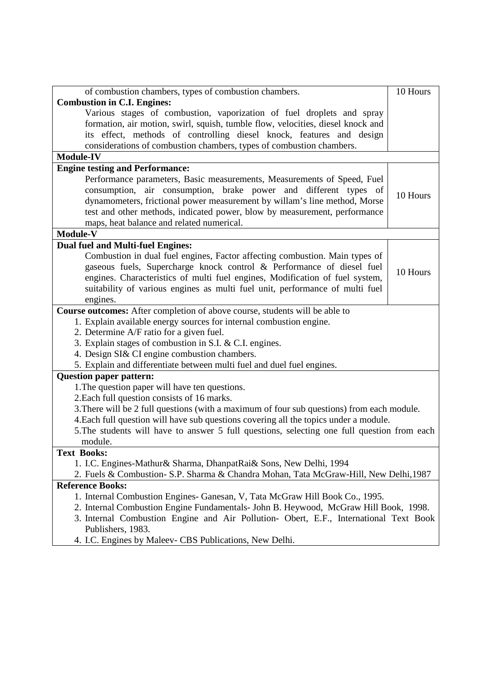| of combustion chambers, types of combustion chambers.                                       | 10 Hours |
|---------------------------------------------------------------------------------------------|----------|
| <b>Combustion in C.I. Engines:</b>                                                          |          |
| Various stages of combustion, vaporization of fuel droplets and spray                       |          |
| formation, air motion, swirl, squish, tumble flow, velocities, diesel knock and             |          |
| its effect, methods of controlling diesel knock, features and design                        |          |
| considerations of combustion chambers, types of combustion chambers.                        |          |
| <b>Module-IV</b>                                                                            |          |
| <b>Engine testing and Performance:</b>                                                      |          |
| Performance parameters, Basic measurements, Measurements of Speed, Fuel                     |          |
| consumption, air consumption, brake power and different types of                            |          |
| dynamometers, frictional power measurement by willam's line method, Morse                   | 10 Hours |
| test and other methods, indicated power, blow by measurement, performance                   |          |
| maps, heat balance and related numerical.                                                   |          |
| Module-V                                                                                    |          |
| <b>Dual fuel and Multi-fuel Engines:</b>                                                    |          |
| Combustion in dual fuel engines, Factor affecting combustion. Main types of                 |          |
| gaseous fuels, Supercharge knock control & Performance of diesel fuel                       |          |
| engines. Characteristics of multi fuel engines, Modification of fuel system,                | 10 Hours |
| suitability of various engines as multi fuel unit, performance of multi fuel                |          |
| engines.                                                                                    |          |
| Course outcomes: After completion of above course, students will be able to                 |          |
| 1. Explain available energy sources for internal combustion engine.                         |          |
| 2. Determine A/F ratio for a given fuel.                                                    |          |
| 3. Explain stages of combustion in S.I. & C.I. engines.                                     |          |
| 4. Design SI& CI engine combustion chambers.                                                |          |
| 5. Explain and differentiate between multi fuel and duel fuel engines.                      |          |
| <b>Question paper pattern:</b>                                                              |          |
| 1. The question paper will have ten questions.                                              |          |
| 2. Each full question consists of 16 marks.                                                 |          |
| 3. There will be 2 full questions (with a maximum of four sub questions) from each module.  |          |
| 4. Each full question will have sub questions covering all the topics under a module.       |          |
| 5. The students will have to answer 5 full questions, selecting one full question from each |          |
| module.                                                                                     |          |
| <b>Text Books:</b>                                                                          |          |
| 1. I.C. Engines-Mathur & Sharma, Dhanpat Rai & Sons, New Delhi, 1994                        |          |
| 2. Fuels & Combustion- S.P. Sharma & Chandra Mohan, Tata McGraw-Hill, New Delhi, 1987       |          |
| <b>Reference Books:</b>                                                                     |          |
| 1. Internal Combustion Engines- Ganesan, V, Tata McGraw Hill Book Co., 1995.                |          |
| 2. Internal Combustion Engine Fundamentals- John B. Heywood, McGraw Hill Book, 1998.        |          |
| 3. Internal Combustion Engine and Air Pollution- Obert, E.F., International Text Book       |          |
| Publishers, 1983.                                                                           |          |
| 4. I.C. Engines by Maleev- CBS Publications, New Delhi.                                     |          |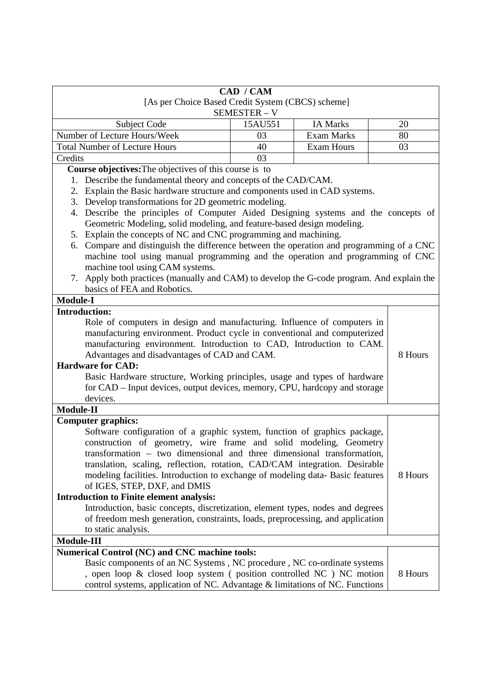| CAD / CAM                                                                                                                                               |              |                   |         |
|---------------------------------------------------------------------------------------------------------------------------------------------------------|--------------|-------------------|---------|
| [As per Choice Based Credit System (CBCS) scheme]                                                                                                       |              |                   |         |
|                                                                                                                                                         | SEMESTER - V |                   |         |
| <b>Subject Code</b>                                                                                                                                     | 15AU551      | <b>IA Marks</b>   | 20      |
| Number of Lecture Hours/Week                                                                                                                            | 03           | <b>Exam Marks</b> | 80      |
| <b>Total Number of Lecture Hours</b>                                                                                                                    | 40           | <b>Exam Hours</b> | 03      |
| Credits                                                                                                                                                 | 03           |                   |         |
| <b>Course objectives:</b> The objectives of this course is to                                                                                           |              |                   |         |
| Describe the fundamental theory and concepts of the CAD/CAM.<br>1.                                                                                      |              |                   |         |
| Explain the Basic hardware structure and components used in CAD systems.<br>2.                                                                          |              |                   |         |
| Develop transformations for 2D geometric modeling.<br>3.                                                                                                |              |                   |         |
| Describe the principles of Computer Aided Designing systems and the concepts of<br>4.                                                                   |              |                   |         |
| Geometric Modeling, solid modeling, and feature-based design modeling.                                                                                  |              |                   |         |
| 5. Explain the concepts of NC and CNC programming and machining.                                                                                        |              |                   |         |
| Compare and distinguish the difference between the operation and programming of a CNC<br>6.                                                             |              |                   |         |
| machine tool using manual programming and the operation and programming of CNC                                                                          |              |                   |         |
| machine tool using CAM systems.                                                                                                                         |              |                   |         |
| Apply both practices (manually and CAM) to develop the G-code program. And explain the<br>7.                                                            |              |                   |         |
| basics of FEA and Robotics.                                                                                                                             |              |                   |         |
| <b>Module-I</b>                                                                                                                                         |              |                   |         |
| <b>Introduction:</b>                                                                                                                                    |              |                   |         |
| Role of computers in design and manufacturing. Influence of computers in                                                                                |              |                   |         |
| manufacturing environment. Product cycle in conventional and computerized                                                                               |              |                   |         |
| manufacturing environment. Introduction to CAD, Introduction to CAM.                                                                                    |              |                   |         |
| Advantages and disadvantages of CAD and CAM.<br><b>Hardware for CAD:</b>                                                                                |              |                   | 8 Hours |
|                                                                                                                                                         |              |                   |         |
| Basic Hardware structure, Working principles, usage and types of hardware<br>for CAD – Input devices, output devices, memory, CPU, hardcopy and storage |              |                   |         |
| devices.                                                                                                                                                |              |                   |         |
| Module-II                                                                                                                                               |              |                   |         |
| <b>Computer graphics:</b>                                                                                                                               |              |                   |         |
| Software configuration of a graphic system, function of graphics package,                                                                               |              |                   |         |
| construction of geometry, wire frame and solid modeling, Geometry                                                                                       |              |                   |         |
| transformation – two dimensional and three dimensional transformation,                                                                                  |              |                   |         |
| translation, scaling, reflection, rotation, CAD/CAM integration. Desirable                                                                              |              |                   |         |
| modeling facilities. Introduction to exchange of modeling data-Basic features                                                                           |              |                   | 8 Hours |
| of IGES, STEP, DXF, and DMIS                                                                                                                            |              |                   |         |
| <b>Introduction to Finite element analysis:</b>                                                                                                         |              |                   |         |
| Introduction, basic concepts, discretization, element types, nodes and degrees                                                                          |              |                   |         |
| of freedom mesh generation, constraints, loads, preprocessing, and application                                                                          |              |                   |         |
| to static analysis.                                                                                                                                     |              |                   |         |
| <b>Module-III</b>                                                                                                                                       |              |                   |         |
| Numerical Control (NC) and CNC machine tools:                                                                                                           |              |                   |         |
| Basic components of an NC Systems, NC procedure, NC co-ordinate systems                                                                                 |              |                   |         |
| , open loop & closed loop system (position controlled NC) NC motion                                                                                     |              |                   | 8 Hours |
| control systems, application of NC. Advantage & limitations of NC. Functions                                                                            |              |                   |         |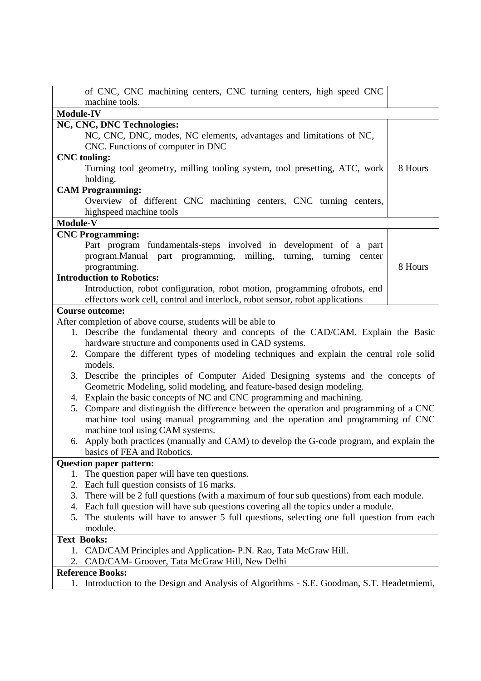| of CNC, CNC machining centers, CNC turning centers, high speed CNC                                                                                           |         |
|--------------------------------------------------------------------------------------------------------------------------------------------------------------|---------|
| machine tools.                                                                                                                                               |         |
| Module-IV                                                                                                                                                    |         |
| NC, CNC, DNC Technologies:                                                                                                                                   |         |
| NC, CNC, DNC, modes, NC elements, advantages and limitations of NC,                                                                                          |         |
| CNC. Functions of computer in DNC                                                                                                                            |         |
| <b>CNC</b> tooling:                                                                                                                                          |         |
| Turning tool geometry, milling tooling system, tool presetting, ATC, work<br>holding.                                                                        | 8 Hours |
| <b>CAM Programming:</b>                                                                                                                                      |         |
| Overview of different CNC machining centers, CNC turning centers,                                                                                            |         |
| highspeed machine tools                                                                                                                                      |         |
| Module-V                                                                                                                                                     |         |
| <b>CNC Programming:</b>                                                                                                                                      |         |
| Part program fundamentals-steps involved in development of a part<br>program.Manual part programming, milling, turning, turning<br>center<br>programming.    | 8 Hours |
| <b>Introduction to Robotics:</b>                                                                                                                             |         |
| Introduction, robot configuration, robot motion, programming ofrobots, end<br>effectors work cell, control and interlock, robot sensor, robot applications   |         |
| <b>Course outcome:</b>                                                                                                                                       |         |
| After completion of above course, students will be able to                                                                                                   |         |
| 1. Describe the fundamental theory and concepts of the CAD/CAM. Explain the Basic<br>hardware structure and components used in CAD systems.                  |         |
| 2. Compare the different types of modeling techniques and explain the central role solid<br>models.                                                          |         |
| 3. Describe the principles of Computer Aided Designing systems and the concepts of<br>Geometric Modeling, solid modeling, and feature-based design modeling. |         |
| 4. Explain the basic concepts of NC and CNC programming and machining.                                                                                       |         |
| Compare and distinguish the difference between the operation and programming of a CNC<br>5.                                                                  |         |
| machine tool using manual programming and the operation and programming of CNC<br>machine tool using CAM systems.                                            |         |
| 6. Apply both practices (manually and CAM) to develop the G-code program, and explain the                                                                    |         |
| basics of FEA and Robotics.                                                                                                                                  |         |
| <b>Question paper pattern:</b>                                                                                                                               |         |
| The question paper will have ten questions.<br>1.                                                                                                            |         |
| Each full question consists of 16 marks.<br>2.                                                                                                               |         |
| There will be 2 full questions (with a maximum of four sub questions) from each module.<br>3.                                                                |         |
| Each full question will have sub questions covering all the topics under a module.<br>4.                                                                     |         |
| The students will have to answer 5 full questions, selecting one full question from each<br>5.                                                               |         |
| module.                                                                                                                                                      |         |
| <b>Text Books:</b>                                                                                                                                           |         |
| CAD/CAM Principles and Application-P.N. Rao, Tata McGraw Hill.<br>1.                                                                                         |         |
| CAD/CAM- Groover, Tata McGraw Hill, New Delhi<br>2.                                                                                                          |         |
| <b>Reference Books:</b>                                                                                                                                      |         |
| Introduction to the Design and Analysis of Algorithms - S.E. Goodman, S.T. Headetmiemi,<br>1.                                                                |         |
|                                                                                                                                                              |         |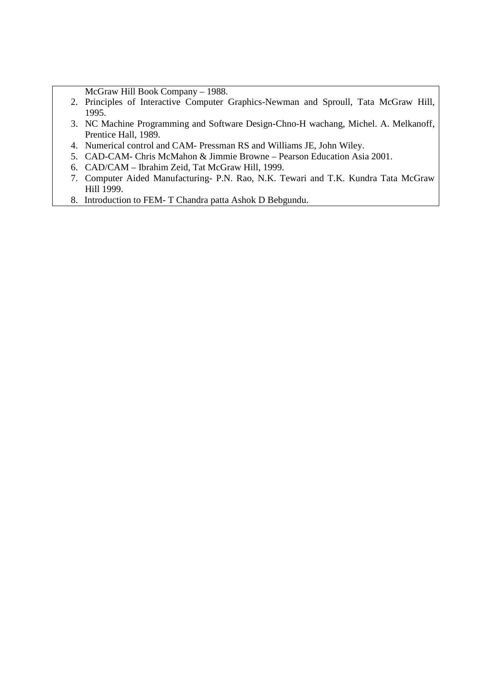McGraw Hill Book Company – 1988.

- 2. Principles of Interactive Computer Graphics-Newman and Sproull, Tata McGraw Hill, 1995.
- 3. NC Machine Programming and Software Design-Chno-H wachang, Michel. A. Melkanoff, Prentice Hall, 1989.
- 4. Numerical control and CAM- Pressman RS and Williams JE, John Wiley.
- 5. CAD-CAM- Chris McMahon & Jimmie Browne Pearson Education Asia 2001.
- 6. CAD/CAM Ibrahim Zeid, Tat McGraw Hill, 1999.
- 7. Computer Aided Manufacturing- P.N. Rao, N.K. Tewari and T.K. Kundra Tata McGraw Hill 1999.
- 8. Introduction to FEM- T Chandra patta Ashok D Bebgundu.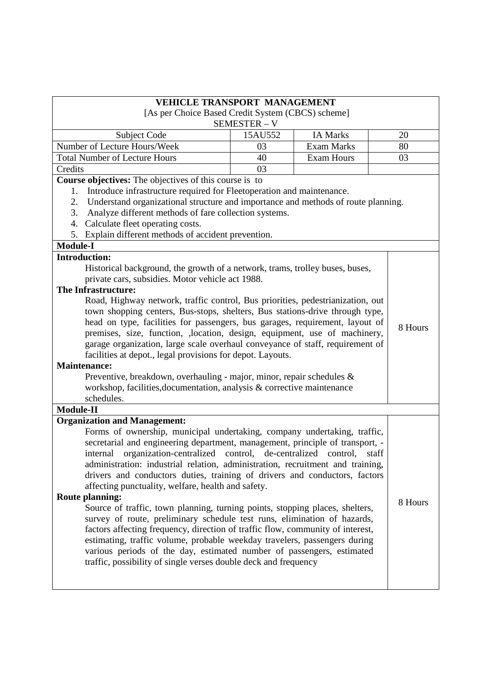|                                                                                         | <b>VEHICLE TRANSPORT MANAGEMENT</b> |                   |         |  |
|-----------------------------------------------------------------------------------------|-------------------------------------|-------------------|---------|--|
| [As per Choice Based Credit System (CBCS) scheme]                                       |                                     |                   |         |  |
|                                                                                         | SEMESTER - V                        |                   |         |  |
| Subject Code                                                                            | 15AU552                             | <b>IA Marks</b>   | 20      |  |
| Number of Lecture Hours/Week                                                            | 03                                  | <b>Exam Marks</b> | 80      |  |
| <b>Total Number of Lecture Hours</b>                                                    | 40                                  | <b>Exam Hours</b> | 03      |  |
| Credits                                                                                 | 03                                  |                   |         |  |
| Course objectives: The objectives of this course is to                                  |                                     |                   |         |  |
| Introduce infrastructure required for Fleetoperation and maintenance.<br>1.             |                                     |                   |         |  |
| Understand organizational structure and importance and methods of route planning.<br>2. |                                     |                   |         |  |
| 3.<br>Analyze different methods of fare collection systems.                             |                                     |                   |         |  |
| Calculate fleet operating costs.<br>4.                                                  |                                     |                   |         |  |
| 5. Explain different methods of accident prevention.                                    |                                     |                   |         |  |
| <b>Module-I</b>                                                                         |                                     |                   |         |  |
| <b>Introduction:</b>                                                                    |                                     |                   |         |  |
| Historical background, the growth of a network, trams, trolley buses, buses,            |                                     |                   |         |  |
| private cars, subsidies. Motor vehicle act 1988.                                        |                                     |                   |         |  |
| The Infrastructure:                                                                     |                                     |                   |         |  |
| Road, Highway network, traffic control, Bus priorities, pedestrianization, out          |                                     |                   |         |  |
| town shopping centers, Bus-stops, shelters, Bus stations-drive through type,            |                                     |                   |         |  |
| head on type, facilities for passengers, bus garages, requirement, layout of            |                                     |                   |         |  |
| premises, size, function, ,location, design, equipment, use of machinery,               |                                     |                   | 8 Hours |  |
| garage organization, large scale overhaul conveyance of staff, requirement of           |                                     |                   |         |  |
| facilities at depot., legal provisions for depot. Layouts.                              |                                     |                   |         |  |
| <b>Maintenance:</b>                                                                     |                                     |                   |         |  |
| Preventive, breakdown, overhauling - major, minor, repair schedules &                   |                                     |                   |         |  |
| workshop, facilities, documentation, analysis & corrective maintenance                  |                                     |                   |         |  |
| schedules.                                                                              |                                     |                   |         |  |
| <b>Module-II</b>                                                                        |                                     |                   |         |  |
| <b>Organization and Management:</b>                                                     |                                     |                   |         |  |
| Forms of ownership, municipal undertaking, company undertaking, traffic,                |                                     |                   |         |  |
| secretarial and engineering department, management, principle of transport, -           |                                     |                   |         |  |
| internal organization-centralized control, de-centralized control, staff                |                                     |                   |         |  |
| administration: industrial relation, administration, recruitment and training,          |                                     |                   |         |  |
| drivers and conductors duties, training of drivers and conductors, factors              |                                     |                   |         |  |
| affecting punctuality, welfare, health and safety.                                      |                                     |                   |         |  |
| <b>Route planning:</b>                                                                  |                                     |                   |         |  |
| Source of traffic, town planning, turning points, stopping places, shelters,            |                                     |                   | 8 Hours |  |
| survey of route, preliminary schedule test runs, elimination of hazards,                |                                     |                   |         |  |
| factors affecting frequency, direction of traffic flow, community of interest,          |                                     |                   |         |  |
| estimating, traffic volume, probable weekday travelers, passengers during               |                                     |                   |         |  |
| various periods of the day, estimated number of passengers, estimated                   |                                     |                   |         |  |
| traffic, possibility of single verses double deck and frequency                         |                                     |                   |         |  |
|                                                                                         |                                     |                   |         |  |
|                                                                                         |                                     |                   |         |  |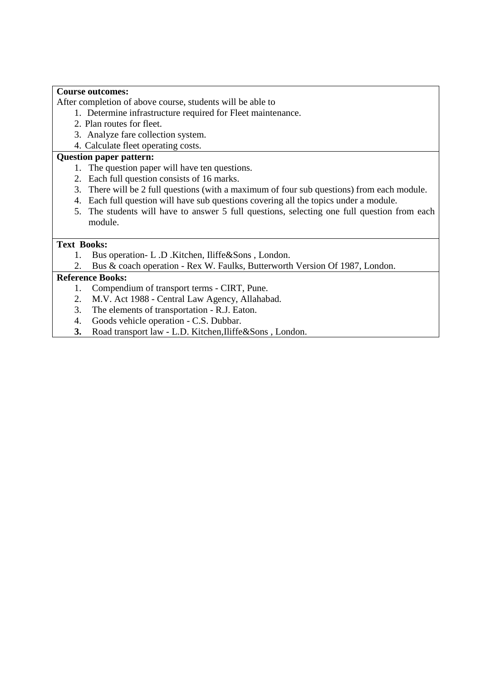#### **Course outcomes:**

After completion of above course, students will be able to

- 1. Determine infrastructure required for Fleet maintenance.
- 2. Plan routes for fleet.
- 3. Analyze fare collection system.
- 4. Calculate fleet operating costs.

### **Question paper pattern:**

- 1. The question paper will have ten questions.
- 2. Each full question consists of 16 marks.
- 3. There will be 2 full questions (with a maximum of four sub questions) from each module.
- 4. Each full question will have sub questions covering all the topics under a module.
- 5. The students will have to answer 5 full questions, selecting one full question from each module.

# **Text Books:**

- 1. Bus operation- L .D .Kitchen, Iliffe&Sons , London.
- 2. Bus & coach operation Rex W. Faulks, Butterworth Version Of 1987, London.

## **Reference Books:**

- 1. Compendium of transport terms CIRT, Pune.
- 2. M.V. Act 1988 Central Law Agency, Allahabad.
- 3. The elements of transportation R.J. Eaton.
- 4. Goods vehicle operation C.S. Dubbar.
- **3.** Road transport law L.D. Kitchen,Iliffe&Sons , London.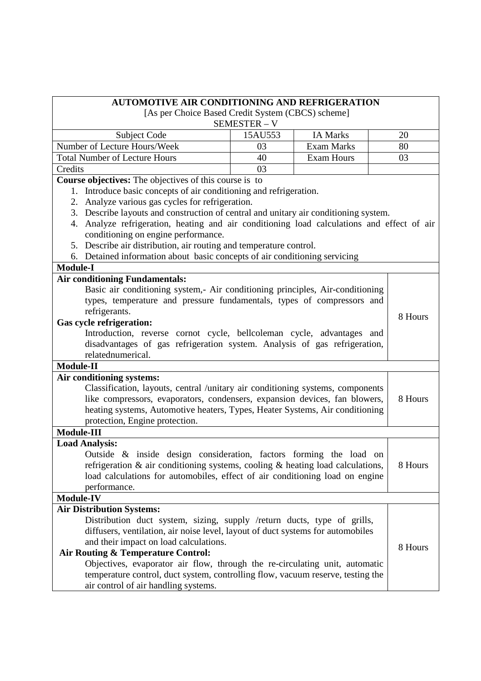| <b>AUTOMOTIVE AIR CONDITIONING AND REFRIGERATION</b>                                                                                                           |            |                   |         |
|----------------------------------------------------------------------------------------------------------------------------------------------------------------|------------|-------------------|---------|
| [As per Choice Based Credit System (CBCS) scheme]                                                                                                              |            |                   |         |
|                                                                                                                                                                | SEMESTER-V |                   |         |
| Subject Code                                                                                                                                                   | 15AU553    | <b>IA Marks</b>   | 20      |
| Number of Lecture Hours/Week                                                                                                                                   | 03         | <b>Exam Marks</b> | 80      |
| <b>Total Number of Lecture Hours</b>                                                                                                                           | 40         | <b>Exam Hours</b> | 03      |
| Credits                                                                                                                                                        | 03         |                   |         |
| Course objectives: The objectives of this course is to                                                                                                         |            |                   |         |
| 1. Introduce basic concepts of air conditioning and refrigeration.                                                                                             |            |                   |         |
| Analyze various gas cycles for refrigeration.<br>2.                                                                                                            |            |                   |         |
| 3. Describe layouts and construction of central and unitary air conditioning system.                                                                           |            |                   |         |
| Analyze refrigeration, heating and air conditioning load calculations and effect of air<br>4.                                                                  |            |                   |         |
| conditioning on engine performance.                                                                                                                            |            |                   |         |
| Describe air distribution, air routing and temperature control.<br>5.                                                                                          |            |                   |         |
| Detained information about basic concepts of air conditioning servicing<br>6.                                                                                  |            |                   |         |
| <b>Module-I</b>                                                                                                                                                |            |                   |         |
| <b>Air conditioning Fundamentals:</b>                                                                                                                          |            |                   |         |
| Basic air conditioning system,- Air conditioning principles, Air-conditioning                                                                                  |            |                   |         |
| types, temperature and pressure fundamentals, types of compressors and                                                                                         |            |                   |         |
| refrigerants.<br><b>Gas cycle refrigeration:</b>                                                                                                               |            |                   | 8 Hours |
| Introduction, reverse cornot cycle, bellcoleman cycle, advantages and                                                                                          |            |                   |         |
| disadvantages of gas refrigeration system. Analysis of gas refrigeration,                                                                                      |            |                   |         |
| relatednumerical.                                                                                                                                              |            |                   |         |
| Module-II                                                                                                                                                      |            |                   |         |
| Air conditioning systems:                                                                                                                                      |            |                   |         |
| Classification, layouts, central /unitary air conditioning systems, components                                                                                 |            |                   |         |
| like compressors, evaporators, condensers, expansion devices, fan blowers,                                                                                     |            |                   | 8 Hours |
| heating systems, Automotive heaters, Types, Heater Systems, Air conditioning                                                                                   |            |                   |         |
| protection, Engine protection.                                                                                                                                 |            |                   |         |
| Module-III                                                                                                                                                     |            |                   |         |
| <b>Load Analysis:</b>                                                                                                                                          |            |                   |         |
| Outside & inside design consideration, factors forming the load on                                                                                             |            |                   |         |
| refrigeration $\&$ air conditioning systems, cooling $\&$ heating load calculations,                                                                           |            |                   | 8 Hours |
| load calculations for automobiles, effect of air conditioning load on engine                                                                                   |            |                   |         |
| performance.                                                                                                                                                   |            |                   |         |
| <b>Module-IV</b>                                                                                                                                               |            |                   |         |
| <b>Air Distribution Systems:</b>                                                                                                                               |            |                   |         |
| Distribution duct system, sizing, supply /return ducts, type of grills,                                                                                        |            |                   |         |
| diffusers, ventilation, air noise level, layout of duct systems for automobiles                                                                                |            |                   |         |
| and their impact on load calculations.                                                                                                                         |            |                   | 8 Hours |
| Air Routing & Temperature Control:                                                                                                                             |            |                   |         |
| Objectives, evaporator air flow, through the re-circulating unit, automatic<br>temperature control, duct system, controlling flow, vacuum reserve, testing the |            |                   |         |
|                                                                                                                                                                |            |                   |         |
| air control of air handling systems.                                                                                                                           |            |                   |         |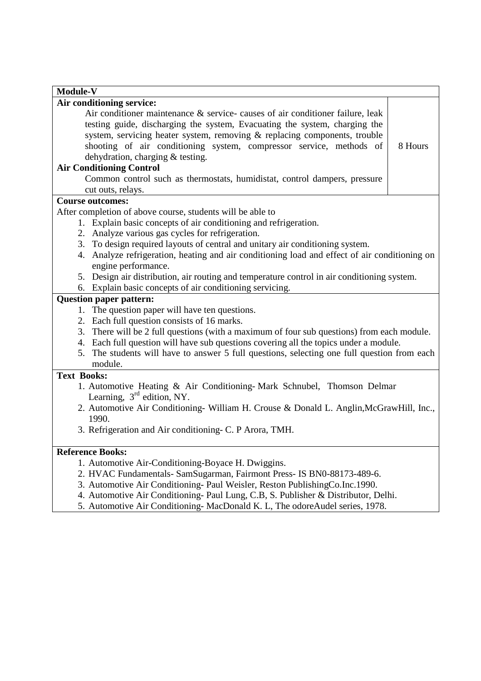| Module-V                                                                                      |
|-----------------------------------------------------------------------------------------------|
| Air conditioning service:                                                                     |
| Air conditioner maintenance $\&$ service-causes of air conditioner failure, leak              |
| testing guide, discharging the system, Evacuating the system, charging the                    |
| system, servicing heater system, removing & replacing components, trouble                     |
| shooting of air conditioning system, compressor service, methods of<br>8 Hours                |
| dehydration, charging & testing.                                                              |
| <b>Air Conditioning Control</b>                                                               |
| Common control such as thermostats, humidistat, control dampers, pressure                     |
| cut outs, relays.                                                                             |
| <b>Course outcomes:</b>                                                                       |
| After completion of above course, students will be able to                                    |
| 1. Explain basic concepts of air conditioning and refrigeration.                              |
| 2. Analyze various gas cycles for refrigeration.                                              |
| 3. To design required layouts of central and unitary air conditioning system.                 |
| 4. Analyze refrigeration, heating and air conditioning load and effect of air conditioning on |
| engine performance.                                                                           |
| 5. Design air distribution, air routing and temperature control in air conditioning system.   |
| 6. Explain basic concepts of air conditioning servicing.                                      |
| <b>Question paper pattern:</b>                                                                |
| 1. The question paper will have ten questions.                                                |
| 2. Each full question consists of 16 marks.                                                   |
| 3. There will be 2 full questions (with a maximum of four sub questions) from each module.    |
| 4. Each full question will have sub questions covering all the topics under a module.         |
| 5. The students will have to answer 5 full questions, selecting one full question from each   |
| module.                                                                                       |
| <b>Text Books:</b>                                                                            |
| 1. Automotive Heating & Air Conditioning-Mark Schnubel, Thomson Delmar                        |
| Learning, $3rd$ edition, NY.                                                                  |
| 2. Automotive Air Conditioning- William H. Crouse & Donald L. Anglin, McGrawHill, Inc.,       |
| 1990.                                                                                         |
| 3. Refrigeration and Air conditioning- C. P Arora, TMH.                                       |
|                                                                                               |
| <b>Reference Books:</b>                                                                       |
| 1. Automotive Air-Conditioning-Boyace H. Dwiggins.                                            |
| 2. HVAC Fundamentals- SamSugarman, Fairmont Press- IS BN0-88173-489-6.                        |
| 3. Automotive Air Conditioning- Paul Weisler, Reston PublishingCo.Inc.1990.                   |
| 4. Automotive Air Conditioning- Paul Lung, C.B, S. Publisher & Distributor, Delhi.            |
| 5. Automotive Air Conditioning- MacDonald K. L, The odoreAudel series, 1978.                  |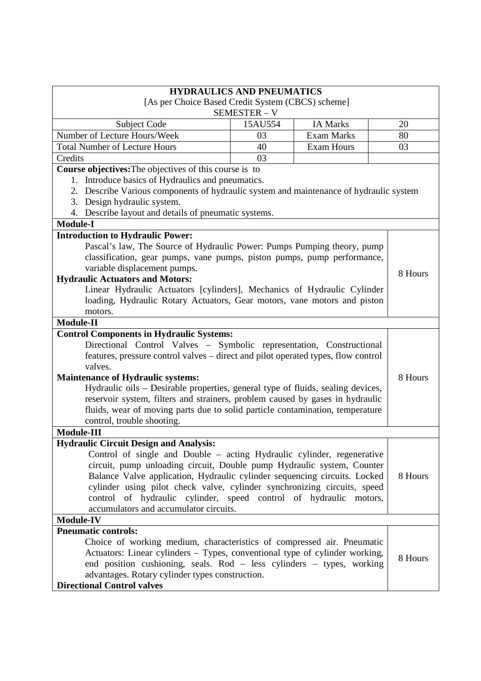| <b>HYDRAULICS AND PNEUMATICS</b>                                                                                                                                                                                                                                                                                                                                                                                                                                                        |              |                   |         |
|-----------------------------------------------------------------------------------------------------------------------------------------------------------------------------------------------------------------------------------------------------------------------------------------------------------------------------------------------------------------------------------------------------------------------------------------------------------------------------------------|--------------|-------------------|---------|
| [As per Choice Based Credit System (CBCS) scheme]                                                                                                                                                                                                                                                                                                                                                                                                                                       |              |                   |         |
|                                                                                                                                                                                                                                                                                                                                                                                                                                                                                         | SEMESTER - V |                   |         |
| Subject Code                                                                                                                                                                                                                                                                                                                                                                                                                                                                            | 15AU554      | <b>IA Marks</b>   | 20      |
| Number of Lecture Hours/Week                                                                                                                                                                                                                                                                                                                                                                                                                                                            | 03           | <b>Exam Marks</b> | 80      |
| <b>Total Number of Lecture Hours</b>                                                                                                                                                                                                                                                                                                                                                                                                                                                    | 40           | <b>Exam Hours</b> | 03      |
| Credits                                                                                                                                                                                                                                                                                                                                                                                                                                                                                 | 03           |                   |         |
| Course objectives: The objectives of this course is to                                                                                                                                                                                                                                                                                                                                                                                                                                  |              |                   |         |
| Introduce basics of Hydraulics and pneumatics.<br>1.                                                                                                                                                                                                                                                                                                                                                                                                                                    |              |                   |         |
| 2. Describe Various components of hydraulic system and maintenance of hydraulic system                                                                                                                                                                                                                                                                                                                                                                                                  |              |                   |         |
| 3. Design hydraulic system.                                                                                                                                                                                                                                                                                                                                                                                                                                                             |              |                   |         |
| 4. Describe layout and details of pneumatic systems.                                                                                                                                                                                                                                                                                                                                                                                                                                    |              |                   |         |
| <b>Module-I</b>                                                                                                                                                                                                                                                                                                                                                                                                                                                                         |              |                   |         |
| <b>Introduction to Hydraulic Power:</b>                                                                                                                                                                                                                                                                                                                                                                                                                                                 |              |                   |         |
| Pascal's law, The Source of Hydraulic Power: Pumps Pumping theory, pump                                                                                                                                                                                                                                                                                                                                                                                                                 |              |                   |         |
| classification, gear pumps, vane pumps, piston pumps, pump performance,                                                                                                                                                                                                                                                                                                                                                                                                                 |              |                   |         |
| variable displacement pumps.                                                                                                                                                                                                                                                                                                                                                                                                                                                            |              |                   | 8 Hours |
| <b>Hydraulic Actuators and Motors:</b>                                                                                                                                                                                                                                                                                                                                                                                                                                                  |              |                   |         |
| Linear Hydraulic Actuators [cylinders], Mechanics of Hydraulic Cylinder                                                                                                                                                                                                                                                                                                                                                                                                                 |              |                   |         |
| loading, Hydraulic Rotary Actuators, Gear motors, vane motors and piston                                                                                                                                                                                                                                                                                                                                                                                                                |              |                   |         |
| motors.                                                                                                                                                                                                                                                                                                                                                                                                                                                                                 |              |                   |         |
| <b>Module-II</b>                                                                                                                                                                                                                                                                                                                                                                                                                                                                        |              |                   |         |
| <b>Control Components in Hydraulic Systems:</b>                                                                                                                                                                                                                                                                                                                                                                                                                                         |              |                   |         |
| Directional Control Valves - Symbolic representation, Constructional                                                                                                                                                                                                                                                                                                                                                                                                                    |              |                   |         |
| features, pressure control valves – direct and pilot operated types, flow control                                                                                                                                                                                                                                                                                                                                                                                                       |              |                   |         |
| valves.                                                                                                                                                                                                                                                                                                                                                                                                                                                                                 |              |                   |         |
| <b>Maintenance of Hydraulic systems:</b>                                                                                                                                                                                                                                                                                                                                                                                                                                                |              |                   | 8 Hours |
| Hydraulic oils – Desirable properties, general type of fluids, sealing devices,                                                                                                                                                                                                                                                                                                                                                                                                         |              |                   |         |
| reservoir system, filters and strainers, problem caused by gases in hydraulic                                                                                                                                                                                                                                                                                                                                                                                                           |              |                   |         |
| fluids, wear of moving parts due to solid particle contamination, temperature                                                                                                                                                                                                                                                                                                                                                                                                           |              |                   |         |
| control, trouble shooting.                                                                                                                                                                                                                                                                                                                                                                                                                                                              |              |                   |         |
| Module-III                                                                                                                                                                                                                                                                                                                                                                                                                                                                              |              |                   |         |
| <b>Hydraulic Circuit Design and Analysis:</b>                                                                                                                                                                                                                                                                                                                                                                                                                                           |              |                   |         |
| Control of single and Double - acting Hydraulic cylinder, regenerative                                                                                                                                                                                                                                                                                                                                                                                                                  |              |                   |         |
| circuit, pump unloading circuit, Double pump Hydraulic system, Counter                                                                                                                                                                                                                                                                                                                                                                                                                  |              |                   |         |
| Balance Valve application, Hydraulic cylinder sequencing circuits. Locked                                                                                                                                                                                                                                                                                                                                                                                                               |              |                   | 8 Hours |
| cylinder using pilot check valve, cylinder synchronizing circuits, speed                                                                                                                                                                                                                                                                                                                                                                                                                |              |                   |         |
|                                                                                                                                                                                                                                                                                                                                                                                                                                                                                         |              |                   |         |
|                                                                                                                                                                                                                                                                                                                                                                                                                                                                                         |              |                   |         |
|                                                                                                                                                                                                                                                                                                                                                                                                                                                                                         |              |                   |         |
|                                                                                                                                                                                                                                                                                                                                                                                                                                                                                         |              |                   |         |
|                                                                                                                                                                                                                                                                                                                                                                                                                                                                                         |              |                   |         |
|                                                                                                                                                                                                                                                                                                                                                                                                                                                                                         |              |                   | 8 Hours |
|                                                                                                                                                                                                                                                                                                                                                                                                                                                                                         |              |                   |         |
|                                                                                                                                                                                                                                                                                                                                                                                                                                                                                         |              |                   |         |
| control of hydraulic cylinder, speed control of hydraulic motors,<br>accumulators and accumulator circuits.<br><b>Module-IV</b><br><b>Pneumatic controls:</b><br>Choice of working medium, characteristics of compressed air. Pneumatic<br>Actuators: Linear cylinders – Types, conventional type of cylinder working,<br>end position cushioning, seals. Rod - less cylinders - types, working<br>advantages. Rotary cylinder types construction.<br><b>Directional Control valves</b> |              |                   |         |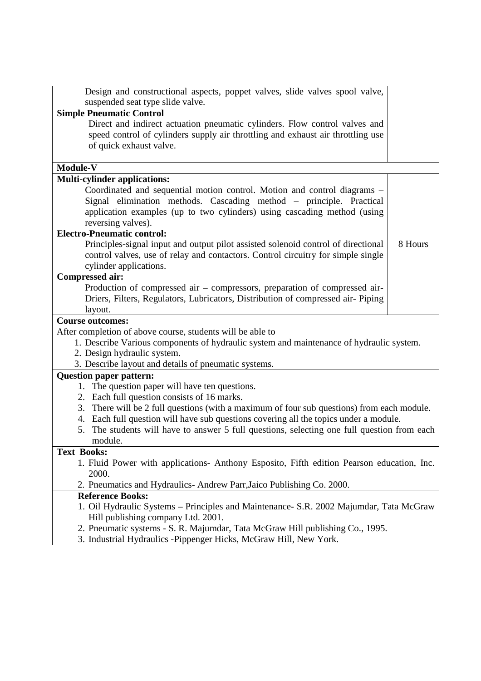| Design and constructional aspects, poppet valves, slide valves spool valve,                 |         |
|---------------------------------------------------------------------------------------------|---------|
| suspended seat type slide valve.                                                            |         |
| <b>Simple Pneumatic Control</b>                                                             |         |
| Direct and indirect actuation pneumatic cylinders. Flow control valves and                  |         |
| speed control of cylinders supply air throttling and exhaust air throttling use             |         |
| of quick exhaust valve.                                                                     |         |
|                                                                                             |         |
| Module-V                                                                                    |         |
| <b>Multi-cylinder applications:</b>                                                         |         |
| Coordinated and sequential motion control. Motion and control diagrams -                    |         |
| Signal elimination methods. Cascading method – principle. Practical                         |         |
| application examples (up to two cylinders) using cascading method (using                    |         |
| reversing valves).                                                                          |         |
| <b>Electro-Pneumatic control:</b>                                                           |         |
| Principles-signal input and output pilot assisted solenoid control of directional           | 8 Hours |
| control valves, use of relay and contactors. Control circuitry for simple single            |         |
| cylinder applications.                                                                      |         |
| <b>Compressed air:</b>                                                                      |         |
| Production of compressed air – compressors, preparation of compressed air-                  |         |
| Driers, Filters, Regulators, Lubricators, Distribution of compressed air-Piping             |         |
| layout.                                                                                     |         |
| <b>Course outcomes:</b>                                                                     |         |
| After completion of above course, students will be able to                                  |         |
| 1. Describe Various components of hydraulic system and maintenance of hydraulic system.     |         |
| 2. Design hydraulic system.                                                                 |         |
| 3. Describe layout and details of pneumatic systems.                                        |         |
| <b>Question paper pattern:</b>                                                              |         |
| 1. The question paper will have ten questions.                                              |         |
| 2. Each full question consists of 16 marks.                                                 |         |
| 3. There will be 2 full questions (with a maximum of four sub questions) from each module.  |         |
| 4. Each full question will have sub questions covering all the topics under a module.       |         |
| 5. The students will have to answer 5 full questions, selecting one full question from each |         |
| module.                                                                                     |         |
| <b>Text Books:</b>                                                                          |         |
| 1. Fluid Power with applications- Anthony Esposito, Fifth edition Pearson education, Inc.   |         |
| 2000.                                                                                       |         |
| 2. Pneumatics and Hydraulics-Andrew Parr, Jaico Publishing Co. 2000.                        |         |
| <b>Reference Books:</b>                                                                     |         |
| 1. Oil Hydraulic Systems - Principles and Maintenance- S.R. 2002 Majumdar, Tata McGraw      |         |
| Hill publishing company Ltd. 2001.                                                          |         |
| 2. Pneumatic systems - S. R. Majumdar, Tata McGraw Hill publishing Co., 1995.               |         |
| 3. Industrial Hydraulics -Pippenger Hicks, McGraw Hill, New York.                           |         |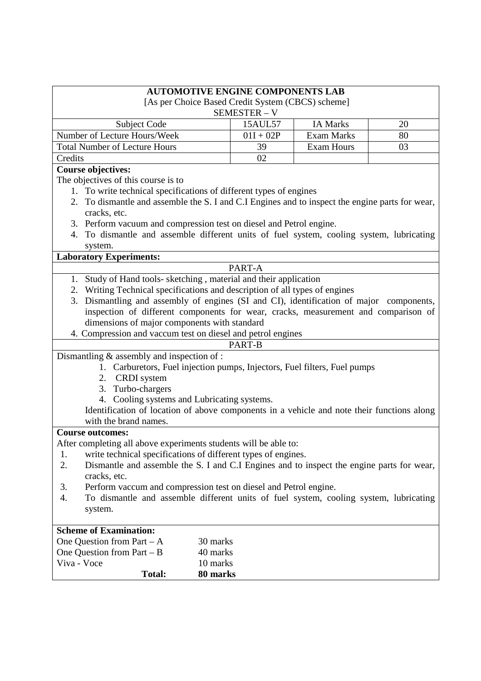| <b>AUTOMOTIVE ENGINE COMPONENTS LAB</b>                                                                                                                                |             |                   |    |
|------------------------------------------------------------------------------------------------------------------------------------------------------------------------|-------------|-------------------|----|
| [As per Choice Based Credit System (CBCS) scheme]                                                                                                                      |             |                   |    |
|                                                                                                                                                                        | SEMESTER-V  |                   |    |
| <b>Subject Code</b>                                                                                                                                                    | 15AUL57     | <b>IA Marks</b>   | 20 |
| Number of Lecture Hours/Week                                                                                                                                           | $01I + 02P$ | <b>Exam Marks</b> | 80 |
| <b>Total Number of Lecture Hours</b>                                                                                                                                   | 39          | <b>Exam Hours</b> | 03 |
| Credits                                                                                                                                                                | 02          |                   |    |
| <b>Course objectives:</b>                                                                                                                                              |             |                   |    |
| The objectives of this course is to                                                                                                                                    |             |                   |    |
| 1. To write technical specifications of different types of engines                                                                                                     |             |                   |    |
| 2. To dismantle and assemble the S. I and C.I Engines and to inspect the engine parts for wear,                                                                        |             |                   |    |
| cracks, etc.                                                                                                                                                           |             |                   |    |
| 3. Perform vacuum and compression test on diesel and Petrol engine.                                                                                                    |             |                   |    |
| 4. To dismantle and assemble different units of fuel system, cooling system, lubricating                                                                               |             |                   |    |
| system.                                                                                                                                                                |             |                   |    |
| <b>Laboratory Experiments:</b>                                                                                                                                         |             |                   |    |
|                                                                                                                                                                        | PART-A      |                   |    |
| 1. Study of Hand tools-sketching, material and their application                                                                                                       |             |                   |    |
| 2. Writing Technical specifications and description of all types of engines                                                                                            |             |                   |    |
| Dismantling and assembly of engines (SI and CI), identification of major components,<br>3.                                                                             |             |                   |    |
| inspection of different components for wear, cracks, measurement and comparison of                                                                                     |             |                   |    |
| dimensions of major components with standard                                                                                                                           |             |                   |    |
| 4. Compression and vaccum test on diesel and petrol engines                                                                                                            |             |                   |    |
|                                                                                                                                                                        | PART-B      |                   |    |
| Dismantling $&$ assembly and inspection of :                                                                                                                           |             |                   |    |
| 1. Carburetors, Fuel injection pumps, Injectors, Fuel filters, Fuel pumps                                                                                              |             |                   |    |
| 2. CRDI system                                                                                                                                                         |             |                   |    |
| 3. Turbo-chargers                                                                                                                                                      |             |                   |    |
| 4. Cooling systems and Lubricating systems.                                                                                                                            |             |                   |    |
| Identification of location of above components in a vehicle and note their functions along                                                                             |             |                   |    |
| with the brand names.                                                                                                                                                  |             |                   |    |
| <b>Course outcomes:</b>                                                                                                                                                |             |                   |    |
| After completing all above experiments students will be able to:                                                                                                       |             |                   |    |
| write technical specifications of different types of engines.<br>1.<br>2.<br>Dismantle and assemble the S. I and C.I Engines and to inspect the engine parts for wear, |             |                   |    |
|                                                                                                                                                                        |             |                   |    |
| cracks, etc.                                                                                                                                                           |             |                   |    |
| Perform vaccum and compression test on diesel and Petrol engine.<br>3.<br>To dismantle and assemble different units of fuel system, cooling system, lubricating<br>4.  |             |                   |    |
| system.                                                                                                                                                                |             |                   |    |
|                                                                                                                                                                        |             |                   |    |
| <b>Scheme of Examination:</b>                                                                                                                                          |             |                   |    |
| One Question from Part $-A$<br>30 marks                                                                                                                                |             |                   |    |
| One Question from Part $- B$<br>40 marks                                                                                                                               |             |                   |    |
| Viva - Voce<br>10 marks                                                                                                                                                |             |                   |    |
| Total:<br>80 marks                                                                                                                                                     |             |                   |    |
|                                                                                                                                                                        |             |                   |    |